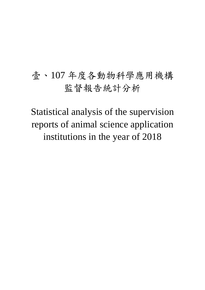# 壹、107 年度各動物科學應用機構 監督報告統計分析

Statistical analysis of the supervision reports of animal science application institutions in the year of 2018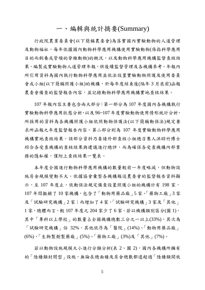#### 一、編輯與統計摘要(Summary)

行政院農業委員會(以下簡稱農委會)為落實國內實驗動物的人道管理 及動物福祉,每年依據國內動物科學應用機構使用實驗動物(係指科學應用 目的而飼養或管領的脊椎動物)的概況,以及動物科學應用機構監督查核結 果,編製成實驗動物人道管理年報,供後續監督管理及各機構參考。年報內 所引用資料為國內執行動物科學應用並依法設置實驗動物照護及使用委員 會或小組(以下簡稱照護小組)的機構,於每年度結束後(隔年 3 月底前)函報 農委會備查的監督報告內容,並記錄動物科學應用機構實地查核結果。

107 年報內容主要包含兩大部分:第一部分為 107 年度國內各機構執行 實驗動物科學應用狀態分析,以及 96~107 年度實驗動物使用情形統計分析, 所採用的資料為各機構照護小組依照動物保護法(以下簡稱動保法)規定要 求所函報之年度監督報告內容。第二部分則為 107 年度實驗動物科學應用 機構實地查核結果,該部分資料乃委請外部查核小組總召集人洪昭竹博士 綜合各受查機構的查核結果與建議進行總評,而為確保各受查機構內部業 務的隱私權,僅附上查核結果一覽表。

本年度全國進行動物科學應用機構的數量較前一年度略減,但動物設 施房舍規模變動不大。依據協會彙整各機構報送農委會的監督報告資料顯 示,至 107年度止,依動保法規定備查設置照護小組的機構計有 198 家, 107 年間撤銷了 10 家機構,包含了「動物用藥品廠」5 家、「藥物工廠」3 家 及「試驗研究機構」2 家;而增加了 4 家,「試驗研究機構」3 家及「其他」  $1$  家, 總體而言, 較 107 年度之 204 家少了 6 家。若以機構類別區分(圖 1), 其中「專科以上學校」的數量占全國機構總數三分之一以上(33%),其次為 「試驗研究機構」佔 32%,其他依序為「醫院」(14%)、「動物用藥品廠」 (6%)、「生物製劑製藥廠」(5%)、「藥物工廠」(3%)及「其他」(7%)。

若以動物設施規模大小進行分類分析(表 2、圖 2),國內各機構所擁有 的「陸棲類封閉型」設施,無論在總面積及房舍總數都遠超過「陸棲類開放

5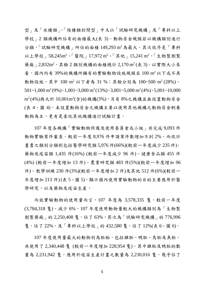型」及「水棲類」。「陸棲類封閉型」中又以「試驗研究機構」及「專科以上 學校 | 2 類機構所佔有的面積最大(表 3)。動物房舍規模若以機構類別進行 分類,「試驗研究機構」所佔的面積 149,293 m<sup>2</sup>為最大,其次依序是「專科 以上學校」58,245m<sup>2</sup>、「醫院」17,972 m<sup>2</sup>、「其他」15,241 m<sup>2</sup>,「生物製劑製 藥廠」2,832m<sup>2,</sup>其餘 2 類別機構的面積總計 2,170 m<sup>2</sup> (表 3)。以實際大小來 看,國內約有 39%的機構所擁有的實驗動物設施規模在 100 m<sup>2</sup>以下或不具 動物設施,其中 100 m<sup>2</sup> 以下者為 31 %;其餘分別為 100~500 m<sup>2</sup> (28%)、  $501 - 1,000$  m<sup>2</sup> $(9\%) \cdot 1,001 - 3,000$  m<sup>2</sup> $(13\%) \cdot 3,001 - 5,000$  m<sup>2</sup> $(4\%) \cdot 5,001 - 10,000$ m<sup>2</sup>(4%)與大於 10,001m<sup>2</sup>(含)的機構(3%),另有 8%之機構並無設置動物房舍 (表 4、圖 4),未設置動物房舍之機構主要以使用其他機構之動物房舍飼養 動物為主,更有是委託其他機構進行試驗計畫。

107 年度各機構「實驗動物照護及使用委員會或小組」共完成 9,093 件 動物實驗案件審查,較前一年度 8,976件申請案件數增加不到 2%。而依計 畫書之類別分類則包括醫學研究類 5,976 件(66%)(較前ㄧ年度減少 235 件)、 藥物及疫苗類 1,435 件(16%) (較前ㄧ年度減少 96 件)、健康食品類 455 件 (4%) (較前ㄧ年度增加 13 件)、農業研究類 483 件(5%)(較前ㄧ年度增加 96 件)、教學訓練 230 件(3%)(較前ㄧ年度增加 2 件)及其他 512 件(6%)(較前ㄧ 年度增加 213件) (表 5、圖 5), 顯示國內使用實驗動物的目的主要應用於醫 學研究,以及藥物及疫苗生產。

而就實驗動物的使用量而言,107年度為 3,578,335 隻,較前一年度 (3,784,318 隻),減少 6%,107 年度使用動物量較大的機構類別為「生物製 劑製藥廠」的 2,250,408 隻,佔了 63%,其次為「試驗研究機構」的 776,996 隻,佔了 22%,及「專科以上學校」的 432,580 隻,佔了 12%(表 6、圖 6)。

107年度使用量最大的動物別為胚胎,包括雞胚、鴨胚、鳥胚及魚胚, 共使用了 2,340,448 隻 (較前ㄧ年度增加 228,954 隻)。其中雞胚及鴨胚的數 量為 2,231,942 隻,應用於疫苗生產計畫之數量為 2,230,016 隻,幾乎佔了

6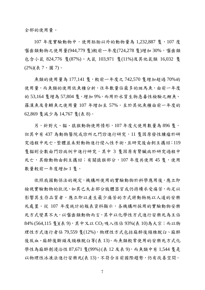全部的使用量。

 $107$  年度實驗動物中,使用胚胎以外的動物量為 1,232,887 隻,107 度 囓齒類動物之使用量(944,779 隻)較前一年度(724,278 隻)增加 30%, 囓齒類 包含小鼠 824,776 隻(87%)、大鼠 103,971 隻(11%)及其他鼠類 16,032 隻 (2%)(表 7、圖 7)。

魚類的使用量為 177,141 隻,較前一年度之 742,570 隻增加超過 70%的 使用量,而魚類的使用依魚種分析,往年數量佔最多的斑馬魚,由前一年度 的 53,164 隻增為 57,804 隻,增加 9%,而用於水質生物急毒性檢驗之鯉魚、 羅漢魚及青鱂魚之使用量 107 年增加至 57%。至於其他魚種由前一年度的 62,869 隻減少為 14,767 隻(表 8)。

另,針對犬、貓、猿猴動物使用情形,107年度犬使用數量為 896 隻, 但其中有 437 為動物醫院或診所之門診進行研究,11 隻因原發性腫瘤於研 究過程中死亡,整體並未對動物進行侵入性手術,且研究後由飼主攜回;119 隻貓則全數由門診病例中進行研究,其中 3 隻因原有腎臟病於研究過程中 死亡,其餘動物由飼主攜回;有關猿猴部分,107年度共使用45隻,使用 數量較前一年度增加1隻。

依照我國動保法的規定,機構所使用的實驗動物於科學應用後,應立即 檢視實驗動物的狀況,如其已失去部分肢體器官或仍持續承受痛苦,而足以 影響其生存品質者,應立即以產生最少痛苦的方式將動物施以人道的安樂 死處置。從 107 年度統計的報表資料顯示,各機構所採用的實驗動物安樂 死方式變異不大,以囓齒類動物而言,其中以化學性方式進行安樂死為主佔  $84\%$  (564,115 隻)(表 9), 其中又以 CO<sub>2</sub> 吸入性佔 93%(表 10)為大宗; 而以物 理性方式進行者佔 79,559 隻(12%),物理性方式包括麻醉後頸椎脫臼、麻醉 後放血、麻醉後斷頭及頸椎脫臼等(表13)。而魚類較常使用的安樂死方式化 學性為麻醉劑浸浴性 87,671 隻(99%)(表 12 及表 9), 而魚類中有 1,544 隻是 以物理性冰凍法進行安樂死(表13),不符合目前國際趨勢,仍有改善空間。

7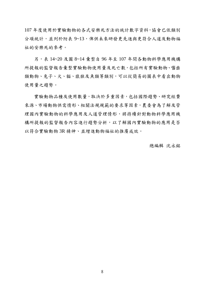107 年度使用於實驗動物的各式安樂死方法的統計數字資料,協會已依類別 分項統計,並列於附表 9~13,俾供未來研發更先進與更符合人道及動物福 祉的安樂死的參考。

另,表 14~20 及圖 8~14 彙整自 96 年至 107 年間各動物科學應用機構 所提報的監督報告彙整實驗動物使用量及死亡數,包括所有實驗動物、囓齒 類動物、兔子、粘、猿猴及魚類等類別,可以從簡易的圖表中看出動物 使用量之趨勢。

實驗動物品種及使用數量,取決於多重因素,包括國際趨勢、研究經費 來源、市場動物供需情形、相關法規規範的要求等因素,農委會為了解及管 理國內實驗動物的科學應用及人道管理情形,將持續針對動物科學應用機 構所提報的監督報告內容進行趨勢分析,以了解國內實驗動物的應用是否 以符合實驗動物 3R 精神、並增進動物福祉的推廣成效。

總編輯 沈永銘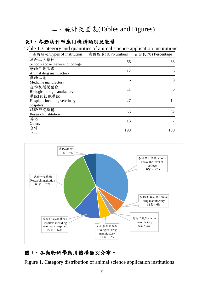# 二、統計及圖表(Tables and Figures)

### 表**1**、各動物科學應用機構類別及數量

Table 1. Category and quantities of animal science application institutions

| 機構類別/Types of institution          | 機構數量(家)/Numbers | 百分比(%) Percentage |
|------------------------------------|-----------------|-------------------|
| 專科以上學校                             | 66              | 33                |
| Schools above the level of college |                 |                   |
| 動物用藥品廠                             | 12              | 6                 |
| Animal drug manufactory            |                 |                   |
| 藥物工廠                               | 6               | 3                 |
| Medicine manufactory               |                 |                   |
| 生物製劑製藥廠                            | 11              | 5                 |
| Biological drug manufactory        |                 |                   |
| 醫院(包括獸醫院)                          |                 |                   |
| Hospitals including veterinary     | 27              | 14                |
| hospitals                          |                 |                   |
| 試驗研究機構                             | 63              | 32                |
| <b>Research institution</b>        |                 |                   |
| 其他                                 | 13              |                   |
| Others                             |                 |                   |
| 合計                                 | 198             | 100               |
| Total                              |                 |                   |



# 圖 **1**、各動物科學應用機構類別分布。

Figure 1. Category distribution of animal science application institutions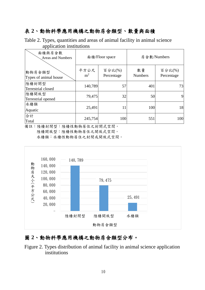# 表 **2**、動物科學應用機構之動物房舍類型、數量與面積

Table 2. Types, quantities and areas of animal facility in animal science application institutions

| 面積與房舍數<br><b>Areas and Numbers</b> |                        | 面積/Floor space       | 房舍數/Numbers          |                      |  |  |
|------------------------------------|------------------------|----------------------|----------------------|----------------------|--|--|
| 動物房舍類型<br>Types of animal house    | 平方公尺<br>m <sup>2</sup> | 百分比(%)<br>Percentage | 數量<br><b>Numbers</b> | 百分比(%)<br>Percentage |  |  |
| 陸棲封閉型<br>Terrestrial closed        | 140,789                | 57                   | 401                  | 73                   |  |  |
| 陸棲開放型<br>Terrestrial opened        | 79,475                 | 32                   | 50                   | 9                    |  |  |
| 水棲類<br>Aquatic                     | 25,491                 | 11                   | 100                  | 18                   |  |  |
| 合計<br>Total                        | 245,754                | 100                  | 551                  | 100                  |  |  |

備註:陸棲封閉型:陸棲性動物居住之封閉式空間。 陸棲開放型:陸棲性動物居住之開放式空間。 水棲類:水棲性動物居住之封閉或開放式空間。



## 圖 **2**、動物科學應用機構之動物房舍類型分布。

Figure 2. Types distribution of animal facility in animal science application institutions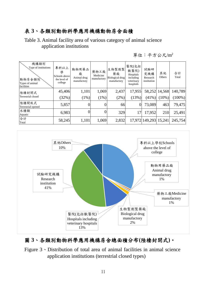# 表 **3**、各類別動物科學應用機構動物房舍面積

Table 3. Animal facility area of various category of animal science application institutions

單位:平方公尺/m<sup>2</sup>

| 機構類別<br>Type of institutions<br>動物房舍類別<br>Types of animal<br>facilities | 專科以上<br>學<br>Schools above<br>the level of<br>college | 動物用藥品<br>廠<br>Animal drug<br>manufactory | 藥物工廠<br>Medicine<br>manufactory | 生物製劑製<br>藥廠<br>Biological drug<br>manufactory | 醫院(包括<br>獸醫院)<br>Hospitals<br>including<br>veterinary<br>hospitals | 試驗研<br>究機構<br>Research<br>institution | 其他<br>Others  | 合計<br>Total |
|-------------------------------------------------------------------------|-------------------------------------------------------|------------------------------------------|---------------------------------|-----------------------------------------------|--------------------------------------------------------------------|---------------------------------------|---------------|-------------|
| 陸棲封閉式                                                                   | 45,406                                                | 1,101                                    | 1,069                           | 2,437                                         | 17,955                                                             |                                       | 58,252 14,568 | 140,789     |
| Terrestrial closed                                                      | (32%)                                                 | (1%)                                     | $(1\%)$                         | $(2\%)$                                       | (13%)                                                              | $(41\%)$                              | $(10\%)$      | $(100\%)$   |
| 陸棲開放式<br>Terrestrial opened                                             | 5,857                                                 | $\overline{0}$                           | $\overline{0}$                  | 66                                            | $\boldsymbol{0}$                                                   | 73,089                                | 463           | 79,475      |
| 水棲類<br>Aquatic                                                          | 6,983                                                 | $\overline{0}$                           | $\boldsymbol{0}$                | 329                                           | 17                                                                 | 17,952                                | <b>210</b>    | 25,491      |
| 合計<br>Total                                                             | 58,245                                                | 1,101                                    | 1,069                           | 2,832                                         |                                                                    | 17,972 149,293 15,241                 |               | 245,754     |



# 圖 **3**、各類別動物科學應用機構房舍總面積分布**(**陸棲封閉式**)**。

Figure 3、Distribution of total area of animal facilities in animal science application institutions (terrestrial closed types)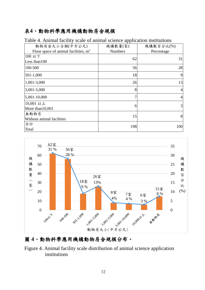# 表**4**、動物科學應用機構動物房舍規模

| 動物房舍大小分類(平方公尺)                         | 機構數量(家)        | 機構數百分比(%)  |
|----------------------------------------|----------------|------------|
| Floor space of animal facilities, $m2$ | <b>Numbers</b> | Percentage |
| 100 以下                                 | 62             | 31         |
| Less than 100                          |                |            |
| 100-500                                | 56             | 28         |
| 501-1,000                              | 18             | 9          |
| 1,001-3,000                            | 26             | 13         |
| 3,001-5,000                            | 8              | 4          |
| 5,001-10,000                           | 7              | 4          |
| 10,001 以上                              | 6              | 3          |
| More than 10,001                       |                |            |
| 無動物房                                   | 15             | 8          |
| Without animal facilities              |                |            |
| 合計                                     | 198            | 100        |
| Total                                  |                |            |

Table 4. Animal facility scale of animal science application institutions



#### 圖 **4**、動物科學應用機構動物房舍規模分布。

Figure 4. Animal facility scale distribution of animal science application institutions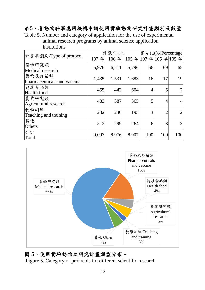# 表**5**、各動物科學應用機構申請使用實驗動物研究計畫類別及數量

Table 5. Number and category of application for the use of experimental animal research programs by animal science application institutions

|                             |          | 件數 Cases | 百分比(%)Percentage |     |                  |     |
|-----------------------------|----------|----------|------------------|-----|------------------|-----|
| 計畫書類別/Type of protocol      | 年<br>107 | 106年     |                  |     | 105年107年106年105年 |     |
| 醫學研究類                       | 5,976    | 6,211    | 5,796            | 66  | 69               | 65  |
| Medical research            |          |          |                  |     |                  |     |
| 藥物及疫苗類                      | 1,435    | 1,531    | 1,683            | 16  | 17               | 19  |
| Pharmaceuticals and vaccine |          |          |                  |     |                  |     |
| 健康食品類                       | 455      | 442      | 604              |     |                  |     |
| Health food                 |          |          |                  |     |                  |     |
| 農業研究類                       | 483      | 387      | 365              | 5   |                  |     |
| Agricultural research       |          |          |                  |     | 4                |     |
| 教學訓練                        | 232      | 230      | 195              | 3   | $\overline{2}$   |     |
| Teaching and training       |          |          |                  |     |                  |     |
| 其他                          | 512      | 299      | 264              | 6   | 3                | 3   |
| Others                      |          |          |                  |     |                  |     |
| 合計                          | 9,093    | 8,976    | 8,907            | 100 | 100              | 100 |
| Total                       |          |          |                  |     |                  |     |



#### 圖 **5**、使用實驗動物之研究計畫類型分布。

Figure 5. Category of protocols for different scientific research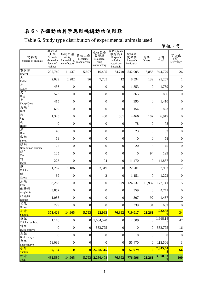# 表 **6**、各類動物科學應用機構動物使用數

Table 6. Study type distribution of experimental animals used

|                                           |                                                          |                                          |                                 |                                                  |                                                                    |                                       |                         |               | 單位:隻                                 |
|-------------------------------------------|----------------------------------------------------------|------------------------------------------|---------------------------------|--------------------------------------------------|--------------------------------------------------------------------|---------------------------------------|-------------------------|---------------|--------------------------------------|
| 動物別<br>Species of animals                 | 專科以<br>上學<br>Schools<br>above the<br>level of<br>college | 動物用藥<br>品廠<br>Animal drug<br>manufactory | 藥物工廠<br>Medicine<br>manufactory | 生物製劑<br>製藥廠<br>Biological<br>drug<br>manufactory | 醫院(包括<br>獸醫院)<br>Hospitals<br>including<br>veterinary<br>hospitals | 試驗研<br>究機構<br>Research<br>institution | 其他<br>Others            | 合計<br>Total   | 百分比<br>$(\frac{6}{6})$<br>Percentage |
| 囓齒類<br>Rodent                             | 292,740                                                  | 11,437                                   | 5,697                           | 10,405                                           | 74,740                                                             | 542,905                               | 6,855                   | 944,779       | 26                                   |
| 兔<br>Rabbit                               | 2,039                                                    | 2,282                                    | 96                              | 7,705                                            | 412                                                                | 8,594                                 | 139                     | 21,267        | 1                                    |
| 牛<br>Cattle                               | 436                                                      | $\boldsymbol{0}$                         | 0                               | $\theta$                                         | $\overline{0}$                                                     | 1,353                                 | $\overline{0}$          | 1,789         | $\boldsymbol{0}$                     |
| 犬 A                                       | 523                                                      | $\boldsymbol{0}$                         | $\boldsymbol{0}$                | 8                                                | $\boldsymbol{0}$                                                   | 365                                   | $\boldsymbol{0}$        | 896           | $\boldsymbol{0}$                     |
| $rac{\text{Dog}}{\text{*}}$<br>Sheep/Goat | 415                                                      | $\boldsymbol{0}$                         | $\boldsymbol{0}$                | $\boldsymbol{0}$                                 | 0                                                                  | 995                                   | $\boldsymbol{0}$        | 1,410         | $\boldsymbol{0}$                     |
| 鳥類 <sup>B</sup><br>Bird                   | 669                                                      | $\boldsymbol{0}$                         | $\boldsymbol{0}$                | $\boldsymbol{0}$                                 | $\boldsymbol{0}$                                                   | 154                                   | $\boldsymbol{0}$        | 823           | $\boldsymbol{0}$                     |
| 豬<br>Pig<br>馬                             | 1,323                                                    | $\boldsymbol{0}$                         | $\boldsymbol{0}$                | 460                                              | 561                                                                | 4,466                                 | 107                     | 6,917         | $\boldsymbol{0}$                     |
| Horse                                     | $\overline{0}$                                           | $\boldsymbol{0}$                         | $\boldsymbol{0}$                | $\theta$                                         | $\boldsymbol{0}$                                                   | 78                                    | $\boldsymbol{0}$        | 78            | $\boldsymbol{0}$                     |
| 鹿<br>Deer                                 | 40                                                       | $\boldsymbol{0}$                         | $\boldsymbol{0}$                | $\boldsymbol{0}$                                 | $\boldsymbol{0}$                                                   | 23                                    | $\boldsymbol{0}$        | 63            | $\boldsymbol{0}$                     |
| 雪貂<br>Ferret                              | 58                                                       | $\boldsymbol{0}$                         | $\boldsymbol{0}$                | $\mathbf{0}$                                     | $\boldsymbol{0}$                                                   | $\boldsymbol{0}$                      | $\boldsymbol{0}$        | 58            | $\boldsymbol{0}$                     |
| 猿猴<br>Non-human Primate                   | 22                                                       | $\boldsymbol{0}$                         | $\boldsymbol{0}$                | $\boldsymbol{0}$                                 | $\boldsymbol{0}$                                                   | 20                                    | 3                       | 45            | $\boldsymbol{0}$                     |
| 貓C<br>Cat                                 | 105                                                      | $\boldsymbol{0}$                         | $\boldsymbol{0}$                | $\theta$                                         | $\boldsymbol{0}$                                                   | $\mathbf{0}$                          | 94                      | 199           | $\boldsymbol{0}$                     |
| 鴨<br>Duck                                 | 223                                                      | $\overline{0}$                           | $\boldsymbol{0}$                | 194                                              | $\overline{0}$                                                     | 11,470                                | $\boldsymbol{0}$        | 11,887        | $\boldsymbol{0}$                     |
| 雞<br>Chicken                              | 31,287                                                   | 1,186                                    | $\boldsymbol{0}$                | 3,319                                            | 0                                                                  | 22,201                                | $\boldsymbol{0}$        | 57,993        | 2                                    |
| 鵝<br>Goose                                | 69                                                       | $\mathbf{0}$                             | $\boldsymbol{0}$                | $\overline{c}$                                   | 0                                                                  | 1,151                                 | $\overline{0}$          | 1,222         | $\boldsymbol{0}$                     |
| 魚類<br>Fish                                | 38,288                                                   | $\boldsymbol{0}$                         | $\boldsymbol{0}$                | $\boldsymbol{0}$                                 | 679                                                                | 124,237                               | 13,937                  | 177,141       | $\mathfrak s$                        |
| 兩棲類<br>Amphibia                           | 3,852                                                    | $\boldsymbol{0}$                         | $\boldsymbol{0}$                | $\boldsymbol{0}$                                 | 0                                                                  | 359                                   | $\theta$                | 4,211         | $\boldsymbol{0}$                     |
| 爬蟲類<br>Reptile                            | 1,058                                                    | $\boldsymbol{0}$                         | $\boldsymbol{0}$                | $\overline{0}$                                   | $\boldsymbol{0}$                                                   | 307                                   | 92                      | 1,457         | $\boldsymbol{0}$                     |
| 其他<br>Others                              | 279                                                      | $\boldsymbol{0}$                         | $\boldsymbol{0}$                | $\boldsymbol{0}$                                 | $\boldsymbol{0}$                                                   | 339                                   | 34                      | 652           | $\overline{0}$                       |
| 小計<br>Subtotal                            | 373,426                                                  | 14,905                                   | 5,793                           | 22,093                                           | 76,392                                                             | 719,017                               | 21,261                  | 1,232,88      | 34                                   |
| 雞胚<br>Chicken embryo                      | 1,118                                                    | $\boldsymbol{0}$                         | $\overline{0}$                  | 1,664,520                                        | $\boldsymbol{0}$                                                   | 2,509                                 | $\boldsymbol{0}$        | 1,668,14      | 47                                   |
| 鴨胚<br>Duck embryo                         | $\boldsymbol{0}$                                         | $\boldsymbol{0}$                         | $\boldsymbol{0}$                | 563,795                                          | $\boldsymbol{0}$                                                   | $\boldsymbol{0}$                      | $\overline{0}$          | 563,795       | 16                                   |
| 鳥胚<br>Bird embryo                         | $\boldsymbol{0}$                                         | $\boldsymbol{0}$                         | $\boldsymbol{0}$                | $\boldsymbol{0}$                                 | $\boldsymbol{0}$                                                   | $\overline{0}$                        | $\boldsymbol{0}$        | $\mathbf{0}$  | $\boldsymbol{0}$                     |
| 魚胚<br>Fish embryo                         | 58,036                                                   | $\boldsymbol{0}$                         | $\boldsymbol{0}$                | $\boldsymbol{0}$                                 | 0                                                                  | 55,470                                | $\boldsymbol{0}$        | 113,506       | $\mathfrak{Z}$                       |
| 小計<br>Subtotal                            | 59,154                                                   | $\bf{0}$                                 | $\bf{0}$                        | 2,228,315                                        | $\bf{0}$                                                           | 57,979                                | $\overline{\mathbf{0}}$ | 2,345,44<br>8 | 66                                   |
| 總計<br>Total                               | 432,580                                                  | 14,905                                   | 5,793                           | 2,250,408                                        | 76,392                                                             | 776,996                               | 21,261                  | 3,578,33<br>5 | <b>100</b>                           |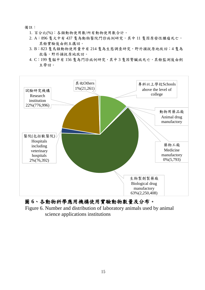備註:

- 1. 百分比(%):各類動物使用數/所有動物使用數合計。
- 2. A:896 隻犬中有 437 隻為動物醫院門診病例研究,其中 11 隻因原發性腫瘤死亡, 其餘實驗後由飼主攜回。
- 3. B:823 隻鳥類動物使用量中有 214 隻為生態調查研究,野外捕捉原地放回;4隻為 救傷,野外捕捉原地放回。
- 4. C:199 隻貓中有 156 隻為門診病例研究,其中 3 隻因腎臟病死亡,其餘監測後由飼 主帶回。



#### 圖 **6**、各動物科學應用機構使用實驗動物數量及分布。

Figure 6. Number and distribution of laboratory animals used by animal science applications institutions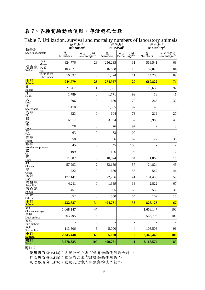# 表 **7**、各種實驗動物使用、存活與死亡數

| 動物別                                           |                      | 使用數 <sup>a</sup><br>Utilization <sup>a</sup> |                                     |              | 存活數 <sup>b</sup><br>Survival <sup>b</sup> | 死亡數。<br>Mortalityc |                                     |  |
|-----------------------------------------------|----------------------|----------------------------------------------|-------------------------------------|--------------|-------------------------------------------|--------------------|-------------------------------------|--|
| Species of animals                            |                      | 隻<br>Numbers                                 | 百分比(%)<br>Percentage <sup>a/t</sup> | 隻<br>Numbers | 百分比(%)<br>Percentage <sup>b/a</sup>       | 隻<br>Numbers       | 百分比(%)<br>Percentage <sup>c/a</sup> |  |
|                                               | 小鼠<br>Mouse          | 824,776                                      | 23                                  | 256,235      | 31                                        | 568,541            | 69                                  |  |
| 囓齒類<br>Rodent                                 | 大鼠<br>Rat            | 103,971                                      | 3                                   | 16,898       | 16                                        | 87,073             | 84                                  |  |
|                                               | 其他鼠類<br>Other rodent | 16,032                                       | $\boldsymbol{0}$                    | 1,824        | 11                                        | 14,208             | 89                                  |  |
| 小計<br><b>Subtotal</b>                         |                      | 944,779                                      | 26                                  | 274,957      | 29                                        | 669,822            | 71                                  |  |
| 兔<br>Rabbit                                   |                      | 21,267                                       | 1                                   | 1,631        | $\,8\,$                                   | 19,636             | 92                                  |  |
| 午<br>Cattle                                   |                      | 1,789                                        | $\boldsymbol{0}$                    | 1,771        | 99                                        | 18                 | $\mathbf{1}$                        |  |
| 犬                                             |                      | 896                                          | $\boldsymbol{0}$                    | 630          | 70                                        | 266                | 30                                  |  |
| $\frac{\text{Dog}^A}{\text{F}}$<br>Sheep/Goat |                      | 1,410                                        | $\boldsymbol{0}$                    | 1,365        | 97                                        | 45                 | 3                                   |  |
| 鳥類                                            |                      | 823                                          | $\boldsymbol{0}$                    | 604          | 73                                        | 219                | 27                                  |  |
| Bird<br>豬                                     |                      | 6,917                                        | 0                                   | 3,934        | 57                                        | 2,983              | 43                                  |  |
| Pig<br>馬<br>Horse                             |                      | 78                                           | $\boldsymbol{0}$                    | 76           | 97                                        | $\overline{c}$     | 3                                   |  |
| 鹿<br>Deer                                     |                      | 63                                           | 0                                   | 63           | 100                                       |                    |                                     |  |
| 雪貂<br>Ferret                                  |                      | 58                                           | $\boldsymbol{0}$                    | 36           | 62                                        | 22                 | 38                                  |  |
| 猿猴<br>Non-human primate                       |                      | 45                                           | $\boldsymbol{0}$                    | 45           | 100                                       |                    |                                     |  |
| 貓<br>Cat                                      |                      | 199                                          | 0                                   | 196          | 98                                        | 3                  | $\overline{2}$                      |  |
| 鴨<br>Duck                                     |                      | 11,887                                       | $\boldsymbol{0}$                    | 10,024       | 84                                        | 1,863              | 16                                  |  |
| 雞<br>Chicken                                  |                      | 57,993                                       | $\overline{c}$                      | 33,169       | 57                                        | 24,824             | 43                                  |  |
| 鵝<br>Goose                                    |                      | 1,222                                        | $\boldsymbol{0}$                    | 680          | 56                                        | 542                | 44                                  |  |
| 魚類<br>Fish                                    |                      | 177,141                                      | 5                                   | 72,736       | 41                                        | 104,405            | 59                                  |  |
| 兩棲類<br>Amphibia                               |                      | 4,211                                        | $\boldsymbol{0}$                    | 1,389        | 33                                        | 2,822              | 67                                  |  |
| 爬蟲類<br>Reptile                                |                      | 1,457                                        | $\boldsymbol{0}$                    | 905          | 62                                        | 552                | 38                                  |  |
| 其他<br>Others                                  |                      | 652                                          | $\boldsymbol{0}$                    | 550          | 84                                        | 102                | 16                                  |  |
| 小計<br><b>Subtotal</b>                         |                      | 1,232,887                                    | 34                                  | 404,761      | 33                                        | 828,126            | 67                                  |  |
| 雞胚<br>Chicken embryo                          |                      | 1,668,147                                    | 47                                  |              |                                           | 1,668,147          | 100                                 |  |
| 鴨胚<br>Duck embryo                             |                      | 563,795                                      | 16                                  |              |                                           | 563,795            | 100                                 |  |
| 鳥胚<br>Bird embryo                             |                      |                                              | $\boldsymbol{0}$                    |              |                                           |                    |                                     |  |
| 魚胚<br>Fish embryo                             |                      | 113,506                                      | 3                                   | 5,000        | $\overline{4}$                            | 108,506            | 96                                  |  |
| 小計<br>Subtotal                                |                      | 2,345,448                                    | 66                                  | 5,000        | $\bf{0}$                                  | 2,340,448          | <b>100</b>                          |  |
| 總計!<br><b>Total</b>                           |                      | 3,578,335                                    | <b>100</b>                          | 409,761      | 11                                        | 3,168,574          | 89                                  |  |

Table 7. Utilization, survival and mortality numbers of laboratory animals

備註:

使用數百分比(%):各動物使用數 3/所有動物使用數合計<sup>t。</sup>

存活數百分比(%):動物存活數 <sup>b</sup>/該類動物使用數 <sup>a</sup>。

死亡數百分比(%):動物死亡數 的該類動物使用數<sup>a。</sup>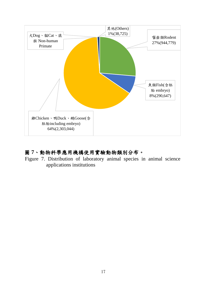

# 圖 **7**、動物科學應用機構使用實驗動物類別分布。

Figure 7. Distribution of laboratory animal species in animal science applications institutions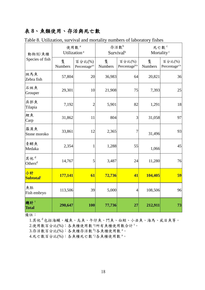# 表 **8**、魚類使用、存活與死亡數

| 動物別/魚種                      |                     | 使用數 <sup>。</sup><br>Utilization <sup>a</sup> | Survival <sup>b</sup> | 存活數b                                | 死亡數 <sup>c</sup><br>Mortality <sup>c</sup> |                                     |  |
|-----------------------------|---------------------|----------------------------------------------|-----------------------|-------------------------------------|--------------------------------------------|-------------------------------------|--|
| Species of fish             | 隻<br><b>Numbers</b> | 百分比(%)<br>Percentage $a/t$                   | 隻<br><b>Numbers</b>   | 百分比(%)<br>Percentage <sup>b/a</sup> | 隻<br><b>Numbers</b>                        | 百分比(%)<br>Percentage <sup>c/a</sup> |  |
| 斑馬魚<br>Zebra fish           | 57,804              | 20                                           | 36,983                | 64                                  | 20,821                                     | 36                                  |  |
| 石斑魚<br>Grouper              | 29,301              | 10                                           | 21,908                | 75                                  | 7,393                                      | 25                                  |  |
| 吳郭魚<br>Tilapia              | 7,192               | $\overline{2}$                               | 5,901                 | 82                                  | 1,291                                      | 18                                  |  |
| 鯉魚<br>Carp                  | 31,862              | 11                                           | 804                   | 3                                   | 31,058                                     | 97                                  |  |
| 羅漢魚<br>Stone moroko         | 33,861              | 12                                           | 2,365                 | $\overline{7}$                      | 31,496                                     | 93                                  |  |
| 青鱂魚<br>Medaka               | 2,354               | 1                                            | 1,288                 | 55                                  | 1,066                                      | 45                                  |  |
| 其他d<br>Others <sup>d</sup>  | 14,767              | 5                                            | 3,487                 | 24                                  | 11,280                                     | 76                                  |  |
| 小計<br>Subtotal <sup>t</sup> | 177,141             | 61                                           | 72,736                | 41                                  | 104,405                                    | 59                                  |  |
| 魚胚<br>Fish embryo           | 113,506             | 39                                           | 5,000                 | $\overline{4}$                      | 108,506                                    | 96                                  |  |
| 總計!<br><b>Total</b>         | 290,647             | <b>100</b>                                   | 77,736                | 27                                  | 212,911                                    | 73                                  |  |

Table 8. Utilization, survival and mortality numbers of laboratory fishes

備註:

1.其他<sup>d</sup>包括海鱺、鱸魚、烏魚、午仔魚、鬥魚、白鯨、小丑魚、海馬、虱目魚等。 2.使用數百分比(%):各魚種使用數 <sup>a</sup>/所有魚種使用數合計<sup>t。</sup>

3.存活數百分比(%):各魚種存活數 <sup>b</sup>/各魚種使用數 <sup>a</sup>。

4.死亡數百分比(%):各魚種死亡數 「各魚種使用數 a。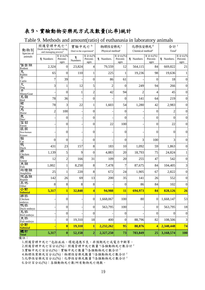# 表 **9**、實驗動物安樂死方式及數量**(**比率**)**統計

#### Table 9. Methods and amount(ratio) of euthanasia in laboratory animals

| 動物別<br>Species of                 | 照護管理中死亡 <sup>。</sup><br>Death during the animal caring<br>and managing process <sup>a</sup> |                           | 實驗中死亡 <sup>b</sup><br>Died in the experiment <sup>b</sup> |                           | 物理性安樂死 <sup>。</sup><br>Physical method <sup>c</sup> |                            | 化學性安樂死 <sup>d</sup><br>Chemical method <sup>d</sup> |                            | 合計 <sup>f</sup><br>Total |                           |
|-----------------------------------|---------------------------------------------------------------------------------------------|---------------------------|-----------------------------------------------------------|---------------------------|-----------------------------------------------------|----------------------------|-----------------------------------------------------|----------------------------|--------------------------|---------------------------|
| animals                           | 隻 Numbers                                                                                   | 百分比(%<br>Percent-<br>ages | 隻<br>Numbers                                              | 百分比(%<br>Percent-<br>ages | 隻 Numbers.                                          | 百分比(%)<br>Percent-<br>ages | 隻 Numbers                                           | 百分比(%)<br>Percent-<br>ages | 隻 Numbers.               | 百分比(%<br>Percent-<br>ages |
| 囓齒類<br>Rodent                     | 2,324                                                                                       | $\boldsymbol{0}$          | 23,824                                                    | 4                         | 79,559                                              | 12                         | 564,115                                             | 84                         | 669,822                  | 21                        |
| 兔<br>Rabbit                       | 65                                                                                          | $\theta$                  | 110                                                       |                           | 225                                                 | 1                          | 19,236                                              | 98                         | 19,636                   |                           |
| 午<br>Cattle                       | 7                                                                                           | 39                        |                                                           | $\boldsymbol{0}$          | 86                                                  | 61                         |                                                     | $\boldsymbol{0}$           | 18                       | $\theta$                  |
| 犬                                 | 3                                                                                           | 1                         | 12                                                        | 5                         | $\overline{c}$                                      | $\theta$                   | 249                                                 | 94                         | 266                      | $\Omega$                  |
| Dog<br>手<br>Sheep/Goat            |                                                                                             | $\overline{0}$            | $\mathbf{1}$                                              | $\overline{c}$            | 42                                                  | 94                         | $\overline{c}$                                      | 4                          | 45                       | 0                         |
| 鳥類<br><b>Bird</b>                 | 78                                                                                          | 36                        |                                                           | $\overline{0}$            |                                                     | $\theta$                   | 141                                                 | 64                         | 219                      | $\theta$                  |
| 豬                                 | 78                                                                                          | 3                         | 22                                                        | 1                         | 1,603                                               | 54                         | 1,280                                               | 42                         | 2,983                    | $\Omega$                  |
| Pig<br>馬<br>Horse                 | $\overline{c}$                                                                              | 100                       |                                                           | $\overline{0}$            |                                                     | $\theta$                   |                                                     | $\overline{0}$             | $\overline{c}$           | $\Omega$                  |
| 鹿<br>Deer                         |                                                                                             | $\boldsymbol{0}$          |                                                           | 0                         |                                                     | 0                          |                                                     | 0                          | 0                        | 0                         |
| 雪貂<br>Ferret                      |                                                                                             | $\boldsymbol{0}$          |                                                           | $\boldsymbol{0}$          | 22                                                  | 100                        |                                                     | 0                          | 22                       | 0                         |
| 猿猴<br>Non-human<br>Primate        |                                                                                             | 0                         |                                                           | 0                         |                                                     | $\overline{0}$             |                                                     | 0                          | 0                        | $\Omega$                  |
| 貓<br>Cat                          | $\theta$                                                                                    | $\overline{0}$            |                                                           | $\theta$                  |                                                     | $\theta$                   | 3                                                   | 100                        | 3                        | $\Omega$                  |
| 鴨<br>Duck                         | 431                                                                                         | 23                        | 157                                                       | 8                         | 183                                                 | 10                         | 1,092                                               | 59                         | 1,863                    | $\Omega$                  |
| 雞<br>Chicken                      | 1,139                                                                                       | 5                         | 9                                                         | $\overline{0}$            | 4,883                                               | 20                         | 18,793                                              | 75                         | 24,824                   |                           |
| 鵝<br>Goose                        | 12                                                                                          | $\overline{c}$            | 166                                                       | 31                        | 109                                                 | 20                         | 255                                                 | 47                         | 542                      | 0                         |
| 魚類<br>Fish                        | 1,002                                                                                       | 1                         | 8,250                                                     | 8                         | 7,478                                               | 7                          | 87,675                                              | 84                         | 104,405                  |                           |
| 兩棲類<br>Amphibia                   | 25                                                                                          | 1                         | 220                                                       | 8                         | 672                                                 | 24                         | 1,905                                               | 67                         | 2,822                    | $\Omega$                  |
| 爬蟲類<br>Reptile                    | 142                                                                                         | 26                        | 69                                                        | 13                        | 200                                                 | 35                         | 141                                                 | 26                         | 552                      | $\Omega$                  |
| 其他<br>Other                       | 8                                                                                           | 8                         | 8                                                         | 8                         |                                                     | $\theta$                   | 86                                                  | 84                         | 102                      | $\theta$                  |
| 小計<br><mark>Subtotal</mark><br>雞胚 | 5,317                                                                                       | $\mathbf{1}$              | 32,848                                                    | 4                         | 94,988                                              | <b>11</b>                  | 694,973                                             | 84                         | 828,126                  | 26                        |
| Chicken                           |                                                                                             | $\boldsymbol{0}$          |                                                           | $\boldsymbol{0}$          | 1,668,067                                           | 100                        | 80                                                  | $\boldsymbol{0}$           | 1,668,147                | 53                        |
| embryo<br>鴨胚                      |                                                                                             |                           |                                                           |                           |                                                     |                            |                                                     |                            |                          |                           |
| Duck embryo<br>鳥胚                 |                                                                                             | $\boldsymbol{0}$          |                                                           | $\boldsymbol{0}$          | 563,795                                             | 100                        |                                                     | 0                          | 563,795                  | 18                        |
| Bird embryo<br>魚胚                 |                                                                                             | $\boldsymbol{0}$          |                                                           | $\boldsymbol{0}$          |                                                     | $\boldsymbol{0}$           |                                                     | 0                          | 0                        | $\boldsymbol{0}$          |
| Fish embryo                       |                                                                                             | $\boldsymbol{0}$          | 19,310                                                    | 18                        | 400                                                 | $\boldsymbol{0}$           | 88,796                                              | 82                         | 108,506                  | 3                         |
| 小計                                |                                                                                             | $\boldsymbol{0}$          | 19,310                                                    | $\mathbf{1}$              | 2,232,262                                           | 95                         | 88,876                                              | 4                          | 2,340,448                | 74                        |
| Subtotal<br>總計<br>Total           | 5,317                                                                                       | $\boldsymbol{0}$          | 52,158                                                    | $\boldsymbol{2}$          | 2,327,250                                           | 73                         | 783,849                                             | 25                         | 3,168,574                | <b>100</b>                |

備註:

1.照護管理中死亡<sup>a</sup>包括疾病、環境適應不良、非預期死亡或電力中斷等。

2.照護管理中死亡。每一百分比(%):照護管理中死亡數量 3/各類動物死亡數合計

3.實驗中死亡百分比(%):實驗中死亡數量 的各類動物死亡數合計

4.物理性案樂死百分比(%): 物理性安樂死數量 5/各類動物死亡數合計

5.化學性安樂死百分比(%): 化學性安樂死數量 4/各類動物死亡數合計 <sup>f</sup>

6.合計百分比(%):各類動物死亡數/所有動物死亡總數。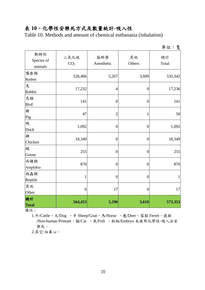# 表 **10**、化學性安樂死方式及數量統計**-**吸入性

Table 10. Methods and amount of chemical euthanasia (inhalation)

|                              |                         |                   |                  | 單位:隻        |
|------------------------------|-------------------------|-------------------|------------------|-------------|
| 動物別<br>Species of<br>animals | 二氧化碳<br>CO <sub>2</sub> | 麻醉藥<br>Anesthetic | 其他<br>Others     | 總計<br>Total |
| 囓齒類<br>Rodent                | 526,466                 | 5,267             | 3,609            | 535,342     |
| 兔<br>Rabbit                  | 17,232                  | $\overline{4}$    | $\boldsymbol{0}$ | 17,236      |
| 鳥類<br><b>Bird</b>            | 141                     | $\boldsymbol{0}$  | $\boldsymbol{0}$ | 141         |
| 豬<br>Pig                     | 47                      | $\overline{c}$    | $\mathbf{1}$     | 50          |
| 鴨<br>Duck                    | 1,092                   | $\boldsymbol{0}$  | $\boldsymbol{0}$ | 1,092       |
| 雞<br>Chicken                 | 18,349                  | $\boldsymbol{0}$  | $\boldsymbol{0}$ | 18,349      |
| 鵝<br>Goose                   | 255                     | $\boldsymbol{0}$  | $\overline{0}$   | 255         |
| 兩棲類<br>Amphibia              | 870                     | $\boldsymbol{0}$  | $\boldsymbol{0}$ | 870         |
| 爬蟲類<br>Reptile               | 1                       | $\boldsymbol{0}$  | $\boldsymbol{0}$ | 1           |
| 其他<br>Other                  | $\boldsymbol{0}$        | 17                | $\boldsymbol{0}$ | 17          |
| 總計<br><b>Total</b>           | 564,453                 | 5,290             | 3,610            | 573,353     |

備註:

1.牛/Cattle、犬/Dog 、羊 Sheep/Goat、馬/Horse 、鹿/Deer、雪貂 Ferret、猿猴 /Non-human Primate、貓/Cat 、魚/Fish 、胚胎/Embryo 未使用化學性-吸入法安 樂死。

2.其它:白鼻心。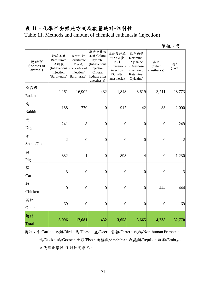# 表 **11**、化學性安樂死方式及數量統計**-**注射性

Table 11. Methods and amount of chemical euthanasia (injection)

| 钜<br>$\overline{\phantom{a}}$ | 仂 |  |
|-------------------------------|---|--|
|                               |   |  |

| 動物別<br>Species of<br>animals | 靜脈注射<br>Barbiturate<br>注射液<br>(Intravenous<br>injection<br>/Barbiturate) | 腹腔注射<br>Barbiturate<br>注射液<br>(Intraperitoneal<br>injection/<br>Barbiturate) | 麻醉後靜脈<br>注射 Chloral<br>hydrate<br>(Intravenous<br>injection<br>Chloral<br>hydrate after<br>anesthesia) | 麻醉後靜脈<br>注射過量<br>KCl<br>(Intravenous<br>injection<br>KCl after<br>anesthesia) | 注射過量<br>Ketamine+<br>Xylazine<br>(Overdose<br>injection of<br>Ketamine+<br>Xylazine) | 其他<br>(Other<br>anesthetics) | 總計<br>(Total)  |
|------------------------------|--------------------------------------------------------------------------|------------------------------------------------------------------------------|--------------------------------------------------------------------------------------------------------|-------------------------------------------------------------------------------|--------------------------------------------------------------------------------------|------------------------------|----------------|
| 囓齒類<br>Rodent                | 2,261                                                                    | 16,902                                                                       | 432                                                                                                    | 1,848                                                                         | 3,619                                                                                | 3,711                        | 28,773         |
| 兔<br>Rabbit                  | 188                                                                      | 770                                                                          | $\overline{0}$                                                                                         | 917                                                                           | 42                                                                                   | 83                           | 2,000          |
| 犬<br>Dog                     | 241                                                                      | 8                                                                            | $\boldsymbol{0}$                                                                                       | $\boldsymbol{0}$                                                              | $\boldsymbol{0}$                                                                     | $\overline{0}$               | 249            |
| 羊<br>Sheep/Goat              | $\overline{2}$                                                           | $\boldsymbol{0}$                                                             | $\overline{0}$                                                                                         | $\overline{0}$                                                                | $\overline{0}$                                                                       | $\overline{0}$               | $\overline{2}$ |
| 豬<br>Pig                     | 332                                                                      | $\mathbf{1}$                                                                 | $\boldsymbol{0}$                                                                                       | 893                                                                           | $\overline{4}$                                                                       | $\boldsymbol{0}$             | 1,230          |
| 貓<br>Cat                     | 3                                                                        | $\boldsymbol{0}$                                                             | $\boldsymbol{0}$                                                                                       | $\boldsymbol{0}$                                                              | $\boldsymbol{0}$                                                                     | $\boldsymbol{0}$             | 3              |
| 雞<br>Chicken                 | $\overline{0}$                                                           | $\boldsymbol{0}$                                                             | $\overline{0}$                                                                                         | $\overline{0}$                                                                | $\overline{0}$                                                                       | 444                          | 444            |
| 其他<br>Other                  | 69                                                                       | $\boldsymbol{0}$                                                             | $\overline{0}$                                                                                         | $\boldsymbol{0}$                                                              | $\boldsymbol{0}$                                                                     | $\overline{0}$               | 69             |
| 總計<br><b>Total</b>           | 3,096                                                                    | 17,681                                                                       | 432                                                                                                    | 3,658                                                                         | 3,665                                                                                | 4,238                        | 32,770         |

備註:牛 Cattle、鳥類/Bird、馬/Horse、鹿/Deer、雪貂/Ferret、猿猴/Non-human Primate、 鴨/Duck、鵝/Goose、魚類/Fish、兩棲類/Amphibia、爬蟲類/Reptile、胚胎/Embryo 未使用化學性-注射性安樂死。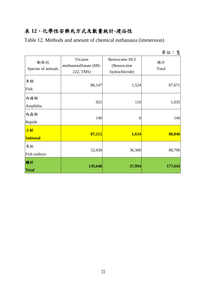# 表 **12**、化學性安樂死方式及數量統計**-**浸浴性

Table 12. Methods and amount of chemical euthanasia (immersion)

| 位<br>ΨP. |  | Æ<br>- 1 |
|----------|--|----------|
|----------|--|----------|

| 動物別<br>Species of animals | Tricaine<br>methanesulfonate (MS-<br>222, TMS) | <b>Benzocaine HCI</b><br>(Benzocaine<br>hydrochloride) | 總計<br>Total |  |
|---------------------------|------------------------------------------------|--------------------------------------------------------|-------------|--|
| 魚類<br>Fish                | 86,147                                         | 1,524                                                  | 87,671      |  |
| 兩棲類<br>Amphibia           | 925                                            | 110                                                    | 1,035       |  |
| 爬蟲類<br>Reptile            | 140                                            | $\boldsymbol{0}$                                       | <b>140</b>  |  |
| 小計<br><b>Subtotal</b>     | 87,212                                         | 1,634                                                  | 88,846      |  |
| 魚胚<br>Fish embryo         | 52,436                                         | 36,360                                                 | 88,796      |  |
| 總計<br><b>Total</b>        | 139,648                                        | 37,994                                                 | 177,642     |  |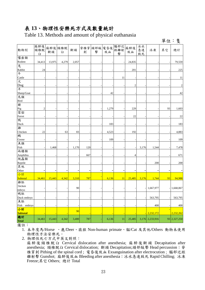# 表 **13**、物理性安樂死方式及數量統計

Table 13. Methods and amount of physical euthanasia

| 動物別                | 麻醉後<br>頸椎脫<br>臼 | 麻醉後 頸椎脫<br>斷頭 | 臼     | 斷頭    | 脊椎穿<br>刺 | 頭部敲<br>擊 | 電昏後<br>放血 | 腦部近<br>距離射<br>擊 | 麻醉後<br>放血      | 冰水<br>急速<br>致死 | 冰凍              | 其它 | 總計             |
|--------------------|-----------------|---------------|-------|-------|----------|----------|-----------|-----------------|----------------|----------------|-----------------|----|----------------|
| 囓齒類                |                 |               |       |       |          |          |           |                 |                |                |                 |    |                |
| Rodent             | 34,413          | 13,975        | 4,279 | 2,057 |          |          |           |                 | 24,835         |                |                 |    | 79,559         |
| 兔                  |                 |               |       |       |          |          |           |                 |                |                |                 |    |                |
| Rabbit             | 24              |               |       |       |          |          |           |                 | 201            |                |                 |    | 225            |
| 牛                  |                 |               |       |       |          |          |           |                 |                |                |                 |    |                |
| Cattle             |                 |               |       |       |          |          |           | 11              |                |                |                 |    | 11             |
| 大                  |                 |               |       |       |          |          |           |                 |                |                |                 |    |                |
| Dog                |                 |               |       |       |          |          |           |                 | $\overline{c}$ |                |                 |    | $\overline{c}$ |
| 羊                  |                 |               |       |       |          |          |           |                 |                |                |                 |    |                |
| Sheep/Goat         |                 |               |       |       |          |          | 42        |                 |                |                |                 |    | 42             |
| 鳥類                 |                 |               |       |       |          |          |           |                 |                |                |                 |    |                |
| <b>Bird</b>        |                 |               |       |       |          |          |           |                 |                |                |                 |    |                |
| 豬                  |                 |               |       |       |          |          |           |                 |                |                |                 |    |                |
| Pig                | $\overline{c}$  |               |       |       |          |          | 1,279     |                 | 229            |                |                 | 93 | 1,603          |
| 雪貂                 |                 |               |       |       |          |          |           |                 |                |                |                 |    |                |
| Ferret             |                 |               |       |       |          |          |           |                 | 22             |                |                 |    | 22             |
| 鴨                  |                 |               |       |       |          |          |           |                 |                |                |                 |    |                |
| Duck               |                 |               |       |       |          |          | 183       |                 |                |                |                 |    | 183            |
| 雞                  |                 |               |       |       |          |          |           |                 |                |                |                 |    |                |
| Chicken            | 22              |               | 63    | 83    |          |          | 4,523     |                 | 192            |                |                 |    | 4,883          |
| 鵝                  |                 |               |       |       |          |          |           |                 |                |                |                 |    |                |
| Goose              |                 |               |       |       |          |          | 109       |                 |                |                |                 |    | 109            |
| 魚類                 |                 |               |       |       |          |          |           |                 |                |                |                 |    |                |
| Fish               |                 | 1,468         |       | 1,170 | 120      |          |           |                 |                | 3,176          | 1,544           |    | 7,478          |
| 兩棲類                |                 |               |       |       |          |          |           |                 |                |                |                 |    |                |
| Amphibia           |                 |               |       |       | 667      |          |           |                 | $\overline{4}$ |                |                 |    | 671            |
| 爬蟲類                |                 |               |       |       |          |          |           |                 |                |                |                 |    |                |
| Reptile            |                 |               |       |       |          |          |           |                 |                |                | 200             |    | 200            |
| 其他                 |                 |               |       |       |          |          |           |                 |                |                |                 |    |                |
| Other              |                 |               |       |       |          |          |           |                 |                |                |                 |    |                |
| 小計                 |                 |               |       |       |          |          |           |                 |                |                |                 |    |                |
| Subtotal           | 34,461          | 15,443        | 4,342 | 3,310 | 787      |          | 6,136     | 11              | 25,485         | 3,176          | 1,744           | 93 | 94,988         |
| 雞胚                 |                 |               |       |       |          |          |           |                 |                |                |                 |    |                |
| Chicken            |                 |               |       | 90    |          |          |           |                 |                |                |                 |    | 1,668,067      |
| embryo             |                 |               |       |       |          |          |           |                 |                |                | 1,667,977       |    |                |
| 鴨胚                 |                 |               |       |       |          |          |           |                 |                |                |                 |    |                |
| Duck embryo        |                 |               |       |       |          |          |           |                 |                |                | 563,795         |    | 563,795        |
| 魚胚                 |                 |               |       |       |          |          |           |                 |                |                |                 |    |                |
| Fish<br>embryo     |                 |               |       |       |          |          |           |                 |                |                | 400             |    | 400            |
| 小計                 |                 |               |       | 90    |          |          |           |                 |                |                |                 |    |                |
| <b>Subtotal</b>    |                 |               |       |       |          |          |           |                 |                |                | 2,232,172       |    | 2,232,262      |
| 總計<br><b>Total</b> | 34,461          | 15,443        | 4,342 | 3,400 | 787      |          | 6,136     | 11              | 25,485         |                | 3,176 2,233,916 |    | 93 2,327,250   |

單位:隻

備註:

1. 本年度馬/Horse 、鹿/Deer、猿猴 Non-human primate、貓/Cat 及其他/Others 動物未使用 物理性方法安樂死。

2. 物理性死亡方式中英文對照:

麻醉後頸椎脫臼 Cervical dislocation after anesthesia; 麻醉後斷頭 Decapitation after anesthesia; 頸椎脫臼 Cervical dislocation; 斷頭 Decapitation;頭部敲擊 Head percussion; 脊 椎穿刺 Pithing of the spinal cord ; 電昏後放血 Exsanguination after electrocution ; 腦部近距 離射擊 Gunshot; 麻醉後放血 Bleeding after anesthesia;冰水急速致死 Rapid Chilling; 冰凍 Freeze;其它 Others; 總計 Total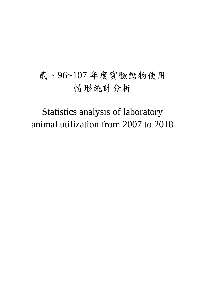# 貳、96~107 年度實驗動物使用 情形統計分析

Statistics analysis of laboratory animal utilization from 2007 to 2018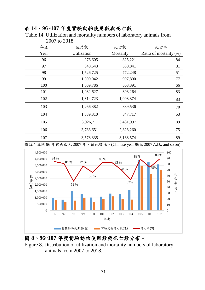### 表 **14**、**96~107** 年度實驗動物使用數與死亡數

Table 14. Utilization and mortality numbers of laboratory animals from

| 年度   | 使用數                | 死亡數       | 死亡率                    |
|------|--------------------|-----------|------------------------|
| Year | <b>Utilization</b> | Mortality | Ratio of mortality (%) |
| 96   | 976,605            | 825,221   | 84                     |
| 97   | 840,543            | 680,841   | 81                     |
| 98   | 1,526,725          | 772,248   | 51                     |
| 99   | 1,300,042          | 997,800   | $77\,$                 |
| 100  | 1,009,786          | 663,391   | 66                     |
| 101  | 1,082,627          | 893,264   | 83                     |
| 102  | 1,314,723          | 1,093,374 | 83                     |
| 103  | 1,266,382          | 889,536   | 70                     |
| 104  | 1,589,310          | 847,717   | 53                     |
| 105  | 3,926,711          | 3,481,997 | 89                     |
| 106  | 3,783,651          | 2,828,260 | 75                     |
| 107  | 3,578,335          | 3,168,574 | 89                     |

2007 to 2018

備註: 民國 96 年代表西元 2007 年, 依此類推。(Chinese year 96 is 2007 A.D., and so on)



#### 圖 **8**、**96~107** 年度實驗動物使用數與死亡數分布。

Figure 8. Distribution of utilization and mortality numbers of laboratory animals from 2007 to 2018.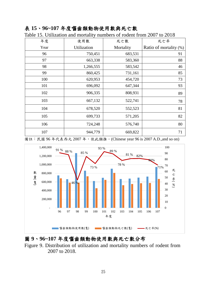#### 表 **15**、**96~107** 年度囓齒類動物使用數與死亡數

| 年度   | 使用數         | 死亡數       | 死亡率                    |
|------|-------------|-----------|------------------------|
| Year | Utilization | Mortality | Ratio of mortality (%) |
| 96   | 750,451     | 683,531   | 91                     |
| 97   | 663,338     | 583,360   | 88                     |
| 98   | 1,266,555   | 583,542   | 46                     |
| 99   | 860,425     | 731,161   | 85                     |
| 100  | 620,953     | 454,720   | 73                     |
| 101  | 696,092     | 647,344   | 93                     |
| 102  | 906,335     | 808,931   | 89                     |
| 103  | 667,132     | 522,741   | 78                     |
| 104  | 678,520     | 552,523   | 81                     |
| 105  | 699,733     | 571,205   | 82                     |
| 106  | 724,248     | 576,740   | 80                     |
| 107  | 944,779     | 669,822   | 71                     |

Table 15. Utilization and mortality numbers of rodent from 2007 to 2018

備註:民國 96 年代表西元 2007 年,依此類推。(Chinese year 96 is 2007 A.D.,and so on)



#### 圖 **9**、**96~107** 年度囓齒類動物使用數與死亡數分布

Figure 9. Distribution of utilization and mortality numbers of rodent from 2007 to 2018.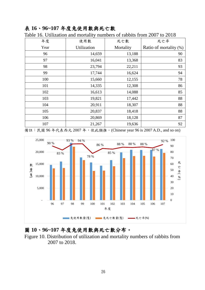## 表 **16**、**96~107** 年度兔使用數與死亡數

| 年度   | 使用數                | 死亡數       | 死亡率                    |
|------|--------------------|-----------|------------------------|
| Year | <b>Utilization</b> | Mortality | Ratio of mortality (%) |
| 96   | 14,659             | 13,188    | 90                     |
| 97   | 16,041             | 13,368    | 83                     |
| 98   | 23,794             | 22,211    | 93                     |
| 99   | 17,744             | 16,624    | 94                     |
| 100  | 15,660             | 12,155    | 78                     |
| 101  | 14,335             | 12,308    | 86                     |
| 102  | 16,613             | 14,088    | 85                     |
| 103  | 19,821             | 17,442    | 88                     |
| 104  | 20,911             | 18,307    | 88                     |
| 105  | 20,837             | 18,418    | 88                     |
| 106  | 20,869             | 18,128    | 87                     |
| 107  | 21,267             | 19,636    | 92                     |

Table 16. Utilization and mortality numbers of rabbits from 2007 to 2018

備註: 民國 96年代表西元 2007年, 依此類推。(Chinese year 96 is 2007 A.D., and so on)



# 圖 **10**、**96~107** 年度兔使用數與死亡數分布。

Figure 10. Distribution of utilization and mortality numbers of rabbits from 2007 to 2018.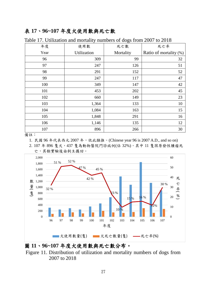## 表 **17**、**96~107** 年度犬使用數與死亡數

| 年度   | 使用數         | 死亡數       | 死亡率                    |
|------|-------------|-----------|------------------------|
| Year | Utilization | Mortality | Ratio of mortality (%) |
| 96   | 309         | 99        | 32                     |
| 97   | 247         | 126       | 51                     |
| 98   | 291         | 152       | 52                     |
| 99   | 247         | 117       | 47                     |
| 100  | 349         | 147       | 42                     |
| 101  | 453         | 202       | 45                     |
| 102  | 660         | 149       | 23                     |
| 103  | 1,364       | 133       | 10                     |
| 104  | 1,084       | 163       | 15                     |
| 105  | 1,848       | 291       | 16                     |
| 106  | 1,146       | 135       | 12                     |
| 107  | 896         | 266       | 30                     |

Table 17. Utilization and mortality numbers of dogs from 2007 to 2018

備註:

1. 民國 96 年代表西元 2007 年,依此類推。(Chinese year 96 is 2007 A.D., and so on)

2. 107 年 896 隻犬,437 隻為動物醫院門診病例(佔 32%),其中 11 隻因原發性腫瘤死 亡,其餘實驗後由飼主攜回。



#### 圖 **11**、**96~107** 年度犬使用數與死亡數分布。

Figure 11. Distribution of utilization and mortality numbers of dogs from 2007 to 2018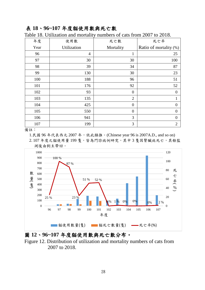#### 表 **18**、**96~107** 年度貓使用數與死亡數

| 年度   | 使用數            | 死亡數            | 死亡率                    |
|------|----------------|----------------|------------------------|
| Year | Utilization    | Mortality      | Ratio of mortality (%) |
| 96   | $\overline{4}$ | 1              | 25                     |
| 97   | 30             | 30             | 100                    |
| 98   | 39             | 34             | 87                     |
| 99   | 130            | 30             | 23                     |
| 100  | 188            | 96             | 51                     |
| 101  | 176            | 92             | 52                     |
| 102  | 93             | $\theta$       | $\overline{0}$         |
| 103  | 135            | $\mathfrak{2}$ | $\mathbf{1}$           |
| 104  | 425            | $\theta$       | $\overline{0}$         |
| 105  | 550            | $\theta$       | $\boldsymbol{0}$       |
| 106  | 941            | 3              | $\overline{0}$         |
| 107  | 199            | 3              | $\overline{2}$         |

Table 18. Utilization and mortality numbers of cats from 2007 to 2018.

備註:

1.民國 96年代表西元 2007年, 依此類推。(Chinese year 96 is 2007A.D., and so on)

2.107年度之貓使用量199隻,皆為門診病例研究,其中3隻因腎臟病死亡,其餘監 測後由飼主帶回。



圖 **12**、**96~107** 年度貓使用數與死亡數分布。

Figure 12. Distribution of utilization and mortality numbers of cats from 2007 to 2018.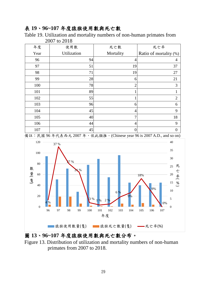#### 表 **19**、**96~107** 年度猿猴使用數與死亡數

Table 19. Utilization and mortality numbers of non-human primates from 2007 to 2018

| 年度   | 使用數         | 死亡數              | 死亡率                    |
|------|-------------|------------------|------------------------|
| Year | Utilization | Mortality        | Ratio of mortality (%) |
| 96   | 94          | 4                | 4                      |
| 97   | 51          | 19               | 37                     |
| 98   | 71          | 19               | 27                     |
| 99   | 28          | 6                | 21                     |
| 100  | 78          | $\overline{2}$   | 3                      |
| 101  | 89          |                  | 1                      |
| 102  | 55          |                  | $\overline{2}$         |
| 103  | 96          | 6                | 6                      |
| 104  | 45          | 4                | 9                      |
| 105  | 40          |                  | 18                     |
| 106  | 44          | $\overline{4}$   | 9                      |
| 107  | 45          | $\boldsymbol{0}$ | $\boldsymbol{0}$       |

備註:民國 96 年代表西元 2007 年,依此類推。(Chinese year 96 is 2007 A.D., and so on)



圖 **13**、**96~107** 年度猿猴使用數與死亡數分布。

Figure 13. Distribution of utilization and mortality numbers of non-human primates from 2007 to 2018.